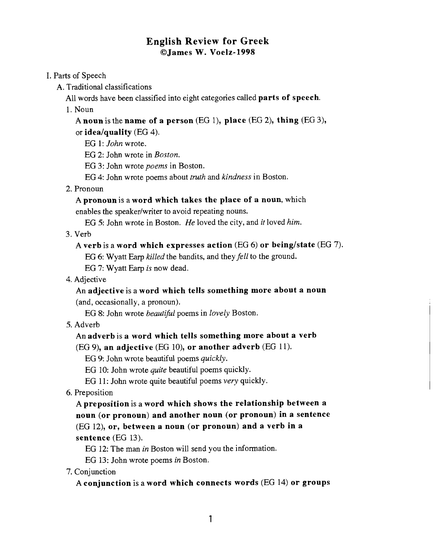# **English Review** for Greek O James W. Voelz-1998

# I. Parts of Speech

A. Traditional classifications

All words have been classified into eight categories called **parts of speech**.

1. Noun

A noun is the name of a person (EG I), place (EG 2), thing (EG 3), or idea/quality  $(EG 4)$ .

EG 1: *John* wrote.

EG 2: John wrote in *Boston.* 

EG 3: John wrote *poems* in Boston.

EG 4: John wrote poems about *truth* and *kindness* in Boston.

2. Pronoun

A pronoun is a word which takes the place of a noun, which enables the speaker/writer to avoid repeating nouns.

EG 5: John wrote in Boston. *He* loved the city, and *it* loved *him.* 

3. Verb

# A verb is a word which expresses action  $(EG 6)$  or being/state  $(EG 7)$ .

EG 6: Wyatt Earp *killed* the bandits, and they *fell* to the ground.

EG 7: Wyatt **Earp** *is* now dead.

4. Adjective

An adjective is a word which tells something more about a noun (and, occasionally, a pronoun).

EG 8: John wrote *beautibl* poems in *lovely* Boston.

5. Adverb

An adverb is a word which tells something more about a verb  $(EG 9)$ , an adjective (EG 10), or another adverb (EG 11).

EG 9: John wrote beautiful poems *quickly.* 

EG 10: John wrote *quite* beautiful poems quickly.

EG 11: John wrote quite beautiful poems *very* quickly.

6. Preposition

A preposition is a word which shows the relationship between a noun (or pronoun) and another noun (or pronoun) in a sentence (EG 12), or, between a noun (or pronoun) and a verb in a sentence (EG 13).

EG 12: The man *in* Boston will send you the information.

EG 13: John wrote poems *in* Boston.

7. Conjunction

A conjunction is a word which connects words (EG 14) or groups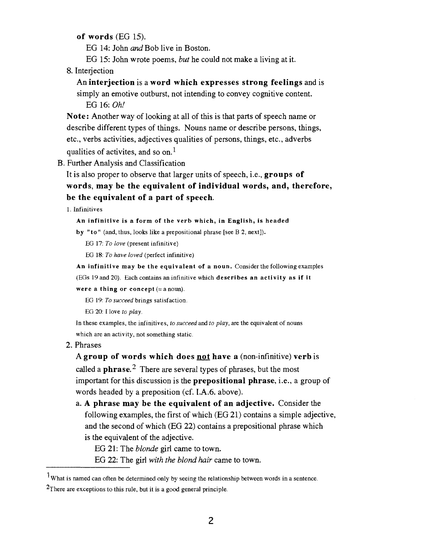**of words** (EG 15).

EG 14: John and Bob live in Boston.

EG 15: John wrote poems, *but* he could not make a living at it.

8. Interjection

# An **interjection** is a **word which expresses strong feelings** and is simply an emotive outburst, not intending to convey cognitive content.

EG 16: *Oh!* 

**Note:** Another way of looking at all of this is that parts of speech name or describe different types of things. Nouns name or describe persons, things, etc., verbs activities, adjectives qualities of persons, things, etc., adverbs qualities of activites, and so on.<sup>1</sup>

B. Further Analysis and Classification

It is also proper to observe that larger units of speech, i.e., **groups of words, may be the equivalent of individual words, and, therefore, be the equivalent of a part of speech.** 

**1.** Infinitives

### **An infinitive is a form of the verb which, in English, is headed**

**by "to"** (and, thus, looks like a prepositional phrase [see B 2, next]).

EG **17:** *To love* (present infinitive)

EG **18:** *To have loved* (perfect infinitive)

**An infinitive may be the equivalent of a noun.** Consider the following examples

(EGs **19** and 20). Each contains an infinitive which **describes an activity as if it** 

### **were a thing or concept**  $(=a$  noun).

EG **19:** *To succeed* brings satisfaction.

EG 20: I love *to play.* 

In these examples, the infinitives, *to succeed* and *to play,* are the equivalent of nouns which are an activity, not something static.

2. Phrases

A **group of words which does** not **have a** (non-infinitive) **verb** is called a **phrase.2** There are several types of phrases, but the most important for this discussion is the **prepositional phrase,** i.e., a group of words headed by a preposition (cf. I.A.6. above).

a. **A phrase may be the equivalent of an adjective.** Consider the following examples, the first of which (EG 21) contains a simple adjective, and the second of which (EG 22) contains a prepositional phrase which is the equivalent of the adjective.

EG 21: The *blonde* girl came to town.

EG 22: The girl *with the blond* **hair** came to town.

<sup>&</sup>lt;sup>1</sup>What is named can often be determined only by seeing the relationship between words in a sentence.

<sup>&</sup>lt;sup>2</sup>There are exceptions to this rule, but it is a good general principle.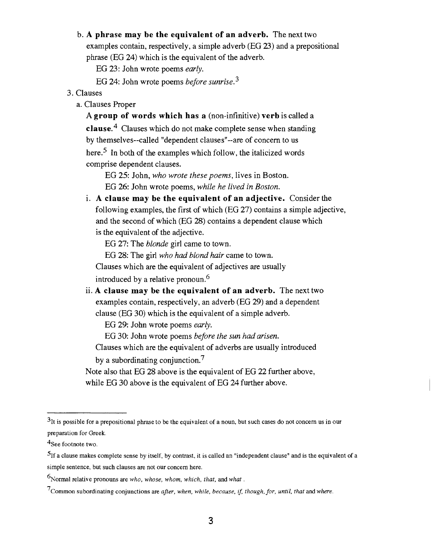## b. **A phrase may be the equivalent of an adverb.** The next two

examples contain, respectively, a simple adverb (EG **23)** and a prepositional phrase (EG 24) which is the equivalent of the adverb.

EG 23: John wrote poems *early.* 

EG 24: John wrote poems *before sunrise*.<sup>3</sup>

## 3. Clauses

a. Clauses Proper

**A group of words which has a** (non-infinitive) **verb** is called a **~lause.~** Clauses which do not make complete sense when standing by themselves--called "dependent clauses"--are of concern to us here.<sup>5</sup> In both of the examples which follow, the italicized words comprise dependent clauses.

EG 25: John, *who wrote these poems,* lives in Boston. EG 26: John wrote poems, *while he lived in Boston.* 

**A clause may be the equivalent of an adjective.** Consider the following examples, the first of which (EG 27) contains a simple adjective, and the second of which (EG 28) contains a dependent clause which is the equivalent of the adjective.

EG 27: The *blonde* girl came to town.

EG 28: The girl *who* had *blond hair* came to town.

Clauses which are the equivalent of adjectives are usually

introduced by a relative pronoun.<sup>6</sup>

**A clause may be the equivalent of an adverb.** The next two examples contain, respectively, an adverb (EG 29) and a dependent clause (EG 30) which is the equivalent of a simple adverb.

EG 29: John wrote poems *early.* 

EG 30: John wrote poems *before the sun had arisen.* 

Clauses which are the equivalent of adverbs are usually introduced

by a subordinating conjunction.<sup>7</sup>

Note also that EG 28 above is the equivalent of EG 22 further above, while EG 30 above is the equivalent of EG 24 further above.

**<sup>31</sup>t** is possible for a prepositional phrase to be the equivalent of a noun, but such cases do not concern us in our preparation for Greek.

 $4$ See footnote two.

 $5$ <sup>1</sup> If a clause makes complete sense by itself, by contrast, it is called an "independent clause" and is the equivalent of a simple sentence, but such clauses are not our concern here.

<sup>6~</sup>ormal relative pronouns are *who, whose, whom, which, that,* and *what.* 

<sup>7~</sup>ommon subordinating conjunctions are *after, when, while, because,* **if,** *though, for, until, that* and *where.*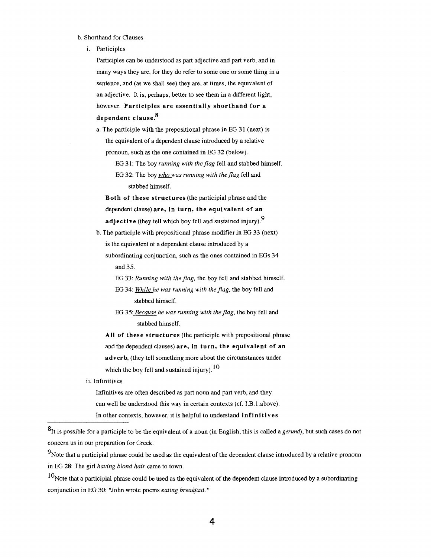#### b. Shorthand for Clauses

i. Participles

Participles can be understood as part adjective and part verb, and in many ways they are, for they do refer to some one or some thing in a sentence, and (as we shall see) they are, at times, the equivalent of an adjective. It is, perhaps, better to see them in a different light, however. **Participles are essentially shorthand for a dependent clause. 8** 

a. The participle with the prepositional phrase in EG 3 1 (next) is the equivalent of a dependent clause introduced by a relative pronoun, such as the one contained in EG 32 (below).

EG 31: The boy *running with the flag* fell and stabbed himself.

EG 32: The boy *who was running with the flag* fell and stabbed himself.

**Both of these structures** (the participial phrase and the dependent clause) **are, in turn, the equivalent of an adjective** (they tell which boy fell and sustained injury). 9

b. The participle with prepositional phrase modifier in EG 33 (next) is the equivalent of a dependent clause introduced by a subordinating conjunction, such as the ones contained in EGs 34

and 35.

- EG 33: *Running with the flag,* the boy fell and stabbed himself.
- EG 34: *While he was running with the Jag,* the boy fell and stabbed himself.
- EG 35: *Because he was running with the flag*, the boy fell and stabbed himself.

**All of these structures** (the participle with prepositional phrase and the dependent clauses) are, in turn, the equivalent of an adverb, (they tell something more about the circumstances under which the boy fell and sustained injury).  $10$ 

ii. Infinitives

Infinitives are often described as part noun and part verb, and they can well be understood this way in certain contexts (cf. I.B. 1.above). In other contexts, however, it is helpful to understand **infinitives** 

<sup>8</sup>It is possible for a participle to be the equivalent of a noun (in English, this is called a *gerund*), but such cases do not concern us in our preparation for Greek.

 $<sup>9</sup>$ Note that a participial phrase could be used as the equivalent of the dependent clause introduced by a relative pronoun</sup> in EG 28: The girl *having blond hair* came to town.

 $10$ Note that a participial phrase could be used as the equivalent of the dependent clause introduced by a subordinating conjunction in EG 30: "John wrote poems *eating breakfast.* "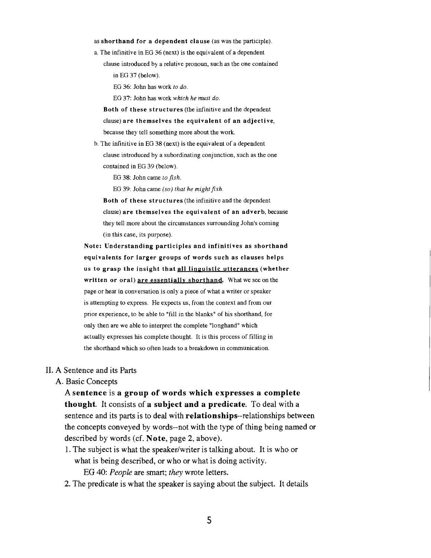#### **as shorthand for a dependent clause** (as was the participle).

a. The infinitive in EG 36 (next) is the equivalent of a dependent clause introduced by a relative pronoun, such as the one contained in EG 37 (below).

EG 36: John has work *to do.* 

EG 37: John has work *which he must do.* 

- **Both of these structures** (the infinitive and the dependent clause) **are themselves the equivalent of an adjective,**  because they tell something more about the work.
- b. The infinitive in EG 38 (next) is the equivalent of a dependent clause introduced by a subordinating conjunction, such as the one contained in EG 39 (below).

EG 38: John came *to fish.* 

EG 39: John came *(so) that he might fish.* 

**Both of these structures** (the infinitive and the dependent clause) **are themselves the equivalent of an adverb,** because they tell more about the circumstances surrounding John's coming (in this case, its purpose).

**Note: Understanding participles and infinitives as shorthand equivalents for larger groups of words such as clauses helps us to grasp the insight that all lineuistic utterances (whether written or oral) are essentiallv shorthand.** What we see on the page or hear in conversation is only a piece of what a writer or speaker is attempting to express. He expects us, from the context and from our prior experience, to be able to "fill in the blanks" of his shorthand, for only then are we able to interpret the complete "longhand" which actually expresses his complete thought. It is this process of filling in the shorthand which so often leads to a breakdown in communication.

#### 11. A Sentence and its Parts

### A. Basic Concepts

A sentence is a group of words which expresses a complete thought. It consists of a subject and a predicate. To deal with a sentence and its parts is to deal with relationships--relationships between the concepts conveyed by words--not with the type of thing being named or described by words (cf. Note, page 2, above).

- 1. The subject is what the speaker/writer is talking about. It is who or what is being described, or who or what is doing activity. EG 40: People are smart; they wrote letters.
- 2. The predicate is what the speaker is saying about the subject. It details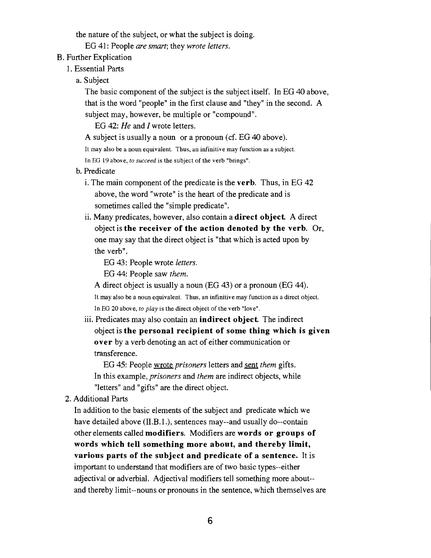the nature of the subject, or what the subject is doing.

EG 41: People *are smart;* they *wrote letters.* 

- B. Further Explication
	- 1. Essential Parts
		- a. Subject

The basic component of the subject is the subject itself. In EG 40 above, that is the word "people" in the first clause and "they" in the second. A subject may, however, be multiple or "compound".

EG 42: *He* and I wrote letters.

A subject is usually a noun or a pronoun (cf. EG 40 above).

It may aIso be a noun equivalent. Thus, an infinitive may function as a subject.

In EG 19 above, to succeed is the subject of the verb "brings".

- b. Predicate
	- i. The main component of the predicate is the **verb.** Thus, in EG 42 above, the word "wrote" is the heart of the predicate and is sometimes called the "simple predicate".
	- ii. Many predicates, however, also contain a **direct object** A direct object is **the receiver of the action denoted by the verb.** Or, one may say that the direct object is "that which is acted upon by the verb".

EG 43: People wrote *letters.* 

EG 44: People saw *them.* 

A direct object is usually a noun (EG 43) or a pronoun (EG 44). It may also be a noun equivalent. Thus, an infinitive may function as a direct object. In EG 20 above, to play is the direct object of the verb "Iove".

iii. Predicates may also contain an **indirect object** The indirect object is **the personal recipient of some thing which is given over** by a verb denoting an act of either communication or transference.

EG 45: People wrote *prisoners* letters and sent *them* gifts. In this example, *prisoners* and *them* are indirect objects, while ''letters" and "gifts" are the direct object.

2. Additional Parts

In addition to the basic elements of the subject and predicate which we have detailed above (II.B.1.), sentences may--and usually do--contain other elements called **modifiers.** Modifiers are **words or groups of words which tell something more about, and thereby limit, various parts of the subject and predicate of a sentence.** It is important to understand that modifiers are of two basic types--either adjectival or adverbial. Adjectival modifiers tell something more about- and thereby limit--nouns or pronouns in the sentence, which themselves are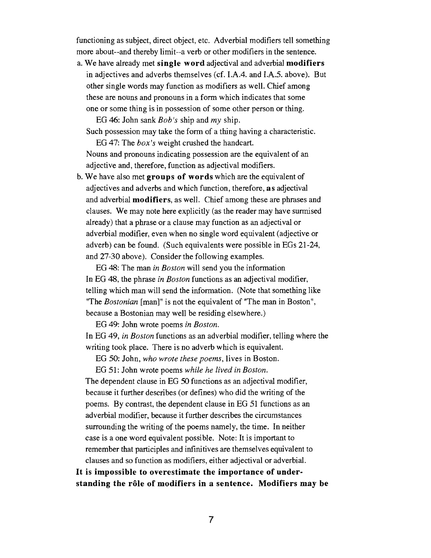functioning as subject, direct object, etc. Adverbial modifiers tell something more about--and thereby limit--a verb or other modifiers in the sentence.

a. We have already met **single word** adjectival and adverbial **modifiers**  in adjectives and adverbs themselves (cf. I.A.4. and I.A.5. above). But other single words may function as modifiers as well. Chief among these are nouns and pronouns in a form which indicates that some one or some thing is in possession of some other person or thing.

EG 46: John sank *Bob's* ship and *my* ship.

Such possession may take the form of a thing having a characteristic. EG 47: The *box's* weight crushed the handcart.

Nouns and pronouns indicating possession are the equivalent of an adjective and, therefore, function as adjectival modifiers.

b. We have also met **groups of words** which are the equivalent of adjectives and adverbs and which function, therefore, **as** adjectival and adverbial **modifiers,** as well. Chief among these are phrases and clauses. We may note here explicitly (as the reader may have surmised already) that a phrase or a clause may function as an adjectival or adverbial modifier, even when no single word equivalent (adjective or adverb) can be found. (Such equivalents were possible in EGs 21-24, and 27-30 above). Consider the following examples.

EG 48: The man *in Boston* will send you the information In EG 48, the phrase *in Boston* functions as an adjectival modifier, telling which man will send the information. (Note that something like "The *Bostonian* [man]" is not the equivalent of "The man in Boston", because a Bostonian may well be residing elsewhere.)

EG 49: John wrote poems *in Boston.* 

In EG 49, *in Boston* functions as an adverbial modifier, telling where the writing took place. There is no adverb which is equivalent.

EG 50: John, *who wrote these poems,* lives in Boston.

EG 51: John wrote poems *while he lived in Boston.*  The dependent clause in EG 50 functions as an adjectival modifier, because it further describes (or defines) who did the writing of the poems. By contrast, the dependent clause in EG 51 functions as an adverbial modifier, because it further describes the circumstances surrounding the writing of the poems namely, the time. In neither case is a one word equivalent possible. Note: It is important to remember that participles and infinitives are themselves equivalent to clauses and so function as modifiers, either adjectival or adverbial.

**It is impossible to overestimate the importance of under**standing the rôle of modifiers in a sentence. Modifiers may be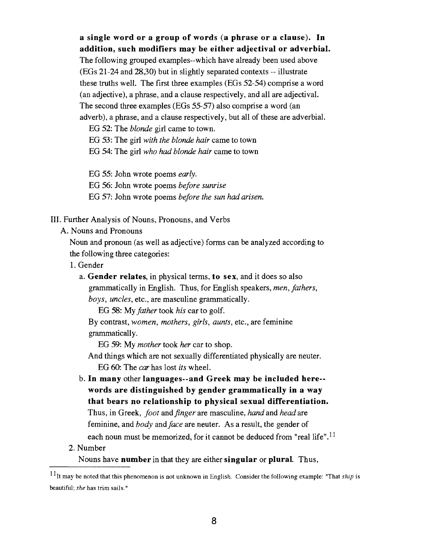**a single word or a group of words (a phrase or a clause). In addition, such modifiers may be either adjectival or adverbial.** 

The following grouped examples--which have already been used above (EGs 21-24 and 28,30) but in slightly separated contexts -- illustrate these truths well. The first three examples (EGs 52-54) comprise a word (an adjective), a phrase, and a clause respectively, and all are adjectival. The second three examples (EGs 55-57) also comprise a word (an adverb), a phrase, and a clause respectively, but all of these are adverbial.

EG 52: The blonde girl came to town.

EG 53: The girl with the blonde hair came to town

EG 54: The girl who had blonde hair came to town

EG 55: John wrote poems early.

EG *56:* John wrote poems before sunrise

EG 57: John wrote poems before the sun had arisen.

- 111. Further Analysis of Nouns, Pronouns, and Verbs
	- A. Nouns and Pronouns

Noun and pronoun (as well **as** adjective) forms can be analyzed according to the following three categories:

- 1. Gender
	- a. **Gender relates,** in physical terms, **to sex,** and it does so also grammatically in English. Thus, for English speakers, men, fathers, boys, uncles, etc., are masculine grammatically.

EG 58: My father took his car to golf.

By contrast, women, mothers, girls, aunts, etc., are feminine grammatically.

EG 59: My mother took her car to shop.

And things which are not sexually differentiated physically are neuter.

EG 60: The car has lost its wheel.

- b. **In many** other **languages--and Greek may be included here- words are distinguished by gender grammatically in a way that bears no relationship to physical sexual differentiation.**  Thus, in Greek, foot and finger are masculine, *hand* and head are feminine, and *body* and *face* are neuter. As a result, the gender of each noun must be memorized, for it cannot be deduced from "real life".<sup>11</sup>
- 2. Number

Nouns have **number** in that they are either **singular** or **plural.** Thus,

<sup>&#</sup>x27;1t may be noted that this phenomenon is not unknown in English. Consider the following example: "That *ship* is beautiful; *she* has trim sails."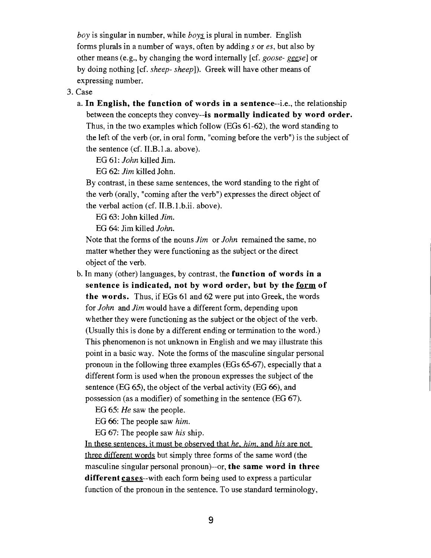boy is singular in number, while  $\frac{b \partial y}{}$  is plural in number. English forms plurals in a number of ways, often by adding s or es, but also by other means (e.g., by changing the word internally [cf. goose- geese] or by doing nothing [cf. sheep- sheep]). Greek will have other means of expressing number.

## 3. Case

a. In English, the function of words in a sentence--i.e., the relationship between the concepts they convey--is normally indicated by word order. Thus, in the two examples which follow (EGs 61-62), the word standing to the left of the verb (or, in oral form, "coming before the verb") is the subject of the sentence (cf. 1I.B.l.a. above).

EG 61: John killed Jim.

EG 62: Jim killed John.

By contrast, in these same sentences, the word standing to the right of the verb (orally, "coming after the verb") expresses the direct object of the verbal action (cf. 1I.B.l.b.ii. above).

EG 63: John killed Jim.

EG 64: Jim killed John.

Note that the forms of the nouns Jim or John remained the same, no matter whether they were functioning as the subject or the direct object of the verb.

b. In many (other) languages, by contrast, the function of words in a sentence is indicated, not by word order, but by the form of the words. Thus, if EGs 61 and 62 were put into Greek, the words for John and Jim would have a different form, depending upon whether they were functioning as the subject or the object of the verb. (Usually this is done by a different ending or termination to the word.) This phenomenon is not unknown in English and we may illustrate this point in a basic way. Note the forms of the masculine singular personal pronoun in the following three examples (EGs 65-67), especially that a different form is used when the pronoun expresses the subject of the sentence (EG 65), the object of the verbal activity (EG 66), and possession (as a modifier) of something in the sentence (EG 67).

EG 65: He saw the people.

EG 66: The people saw him.

EG 67: The people saw his ship.

In these sentences, it must be observed that he, him, and his are not three different words but simply three forms of the same word (the masculine singular personal pronoun)--or, the same word in three different cases--with each form being used to express a particular function of the pronoun in the sentence. To use standard terminology,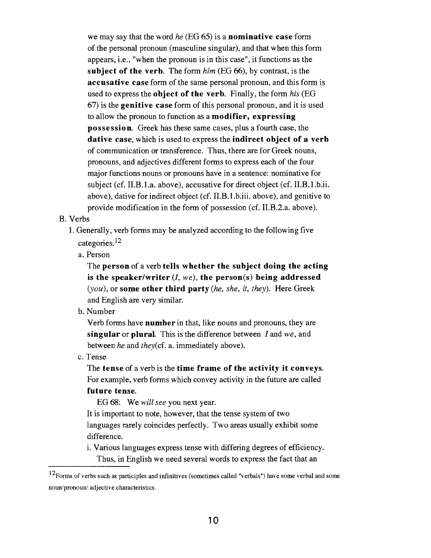we may say that the word he (EG 65) is a **nominative case** form of the personal pronoun (masculine singular), and that when this form appears, i.e., "when the pronoun is in this case", it functions as the **subject of the verb.** The form him (EG 66), by contrast, is the **accusative case** form of the same personal pronoun, and this form is used to express the **object of the verb.** Finally, the form his (EG 67) is the **genitive case** form of this personal pronoun, and it is used to allow the pronoun to function as a **modifier, expressing possession.** Greek has these same cases, plus a fourth case, the **dative case,** which is used to express the **indirect object of a verb**  of communication or transference. Thus, there are for Greek nouns, pronouns, and adjectives different forms to express each of the four major functions nouns or pronouns have in a sentence: nominative for subject (cf. 1I.B.l.a. above), accusative for direct object (cf. 1I.B.l.b.ii. above), dative for indirect object (cf. 1I.B.l.b.iii. above), and genitive to provide modification in the form of possession (cf. II.B.2.a. above).

## B. Verbs

1. Generally, verb forms may be analyzed according to the following five categories. l2

a. Person

The **person** of a verb **tells whether the subject doing the acting is the speakerlwriter (I,** we), **the person(s) being addressed**  (you), or **some other third party** (he, she, it, they). Here Greek and English are very similar.

b. Number

Verb forms have **number** in that, like nouns and pronouns, they are **singular** or **plural.** This is the difference between I and we, and between he and they(cf. a. immediately above).

c. Tense

The **tense** of a verb is the **time frame of the activity it conveys.**  For example, verb forms which convey activity in the future are called **future tense.** 

EG 68: We will see you next year.

It is important to note, however, that the tense system of two languages rarely coincides perfectly. Two areas usually exhibit some difference.

i. Various languages express tense with differing degrees of efficiency. Thus, in English we need several words to express the fact that an

<sup>&</sup>lt;sup>12</sup>Forms of verbs such as participles and infinitives (sometimes called "verbals") have some verbal and some noun/pronoun/ adjective characteristics.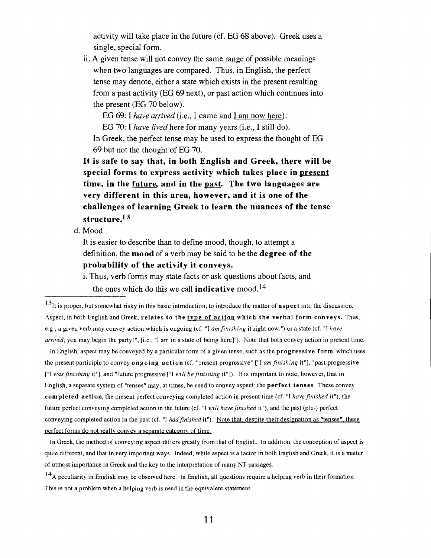activity will take place in the future (cf. EG 68 above). Greek uses a single, special form.

ii. A given tense will not convey the same range of possible meanings when two languages are compared. Thus, in English, the perfect tense may denote, either a state which exists in the present resulting from a past activity (EG 69 next), or past action which continues into the present (EG 70 below).

EG 69: 1 *have arrived* (i.e., *I* came and I am now here).

EG 70: I *have lived* here for many years (i.e., I still do). In Greek, the perfect tense may be used to express the thought of EG 69 but not the thought of EG 70.

**It is safe to say that, in both English and Greek, there will be special forms to express activity which takes place in present time, in the future, and in the past. The two languages are very different in this area, however, and it is one of the challenges of learning Greek to learn the nuances of the tense structure.13** 

d. Mood

It is easier to describe than to define mood, though, to attempt a definition, the **mood** of a verb may be said to be the **degree of the probability of the activity it conveys.** 

**i.** Thus, verb forms may state facts or ask questions about facts, and the ones which do this we call **indicative** mood.14

131t is proper, but somewhat risky in this basic introduction, to introduce the matter of **aspect** into the discussion. Aspect, in both English and Greek, relates to the type of action which the verbal form conveys. Thus, e.g., a given verb may convey action which is ongoing (cf. "I *amfinishing* it right now.") or a state (cf. "I *have arrived;* you may begin the party!". [i.e., "I am in a state of being here]"). Note that both convey action in present time.

In English, aspect may be conveyed by a particular form of a given tense, such as the **progressi ve form,** which uses the present participle to convey **ongoing action** (cf. "present progressive" ["I *am finishing* it"], "past progressive ["I *was finishing* it"], and "future progressive ["I *will befinishing* it"]). It is important to note, however, that in English, a separate system of "tenses" may, at times, be used to convey aspect: the **perfect tenses.** These convey **comple ted action,** the present perfect conveying completed action in present time (cf. "I *have finished* it"), the future perfect conveying completed action in the future (cf. "I *will havefinished* it"), and the past (plu-) perfect conveying completed action in the past (cf. "I *had finished* it"). Note that, despite their designation as "tenses", these perfect forms do not really convey a separate category of time.

In Greek, the method of conveying aspect differs greatly from that of English. In addition, the conception of aspect is quite different, and that in very important ways. Indeed, while aspect is a factor in both English and Greek, it is a matter of utmost importance in Greek and the key to the interpretation of many NT passages.

 $14<sub>A</sub>$  peculiarity in English may be observed here. In English, all questions require a helping verb in their formation. This is not a problem when a helping verb is used in the equivalent statement.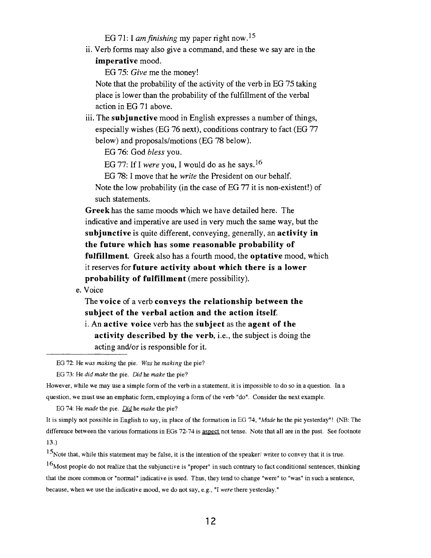EG 71: I *amfinishing* my paper right now.15

Verb forms may also give a command, and these we say are in the **imperative** mood.

EG 75: *Give* me the money!

Note that the probability of the activity of the verb in EG 75 taking place is lower than the probability of the fulfillment of the verbal action in EG 71 above.

**111.** The **subjunctive** mood in English expresses a number of things, especially wishes (EG 76 next), conditions contrary to fact (EG 77 below) and proposals/motions (EG 78 below).

EG 76: God *bless* you.

EG 77: If I *were* you, I would do as he says.16

EG 78: I move that he *write* the President on our behalf.

Note the low probability (in the case of EG 77 it is non-existent!) of such statements.

**Greek** has the same moods which we have detailed here. The indicative and imperative are used in very much the same way, but the **subjunctive** is quite different, conveying, generally, an **activity in the future which has some reasonable probability of fulfillment.** Greek also has a fourth mood, the **optative** mood, which it reserves for **future activity about which there is a lower probability of fulfillment** (mere possibility).

e. Voice

The **voice** of a verb **conveys the relationship between the subject of the verbal action and the action itself.** 

i. An **active voice** verb has the **subject** as the **agent of the activity described by the verb,** i.e., the subject is doing the acting and/or is responsible for it.

EG 72: He was *making* the pie. Was he *making* the pie?

EG 73: He **did** *make* the pie. *Did* he *make* the pie?

However, while we may use a simple form of the verb in a statement, it is impossible to do so in a question. In a question, we must use an emphatic form, employing a form of the verb "do". Consider the next example.

EG 74: He *made* the pie. Did he *make* the pie?

It is simply not possible in English to say, in place of the formation in EG 74, *"Made* he the pie yesterday"! (NB: The difference between the various formations in EGs 72-74 is aspect not tense. Note that all are in the past. See footnote 13.)

 $16$ Most people do not realize that the subjunctive is "proper" in such contrary to fact conditional sentences, thinking that the more common or "normal" indicative is used. Thus, they tend to change "were" to "was" in such a sentence, because, when we use the indicative mood, we do not say, e.g., "I *were* there yesterday."

 $15$ Note that, while this statement may be false, it is the intention of the speaker/ writer to convey that it is true.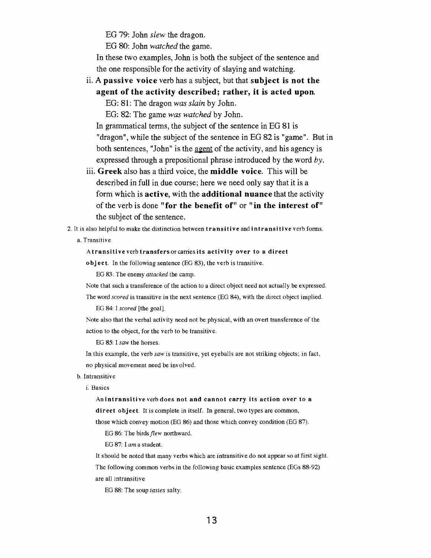EG 79: John *slew* the dragon.

EG 80: John *watched* the game.

In these two examples, John is both the subject of the sentence and the one responsible for the activity of slaying and watching.

ii. **A passive voice** verb has a subject, but that **subject is not the** 

**agent of the activity described; rather, it is acted upon.** 

EG: 81: The dragon *was* **slain** by John.

EG: 82: The game *was watched* by John.

In grammatical terms, the subject of the sentence in EG 81 is "dragon", while the subject of the sentence in EG 82 is "game". But in both sentences, "John" is the agent of the activity, and his agency is expressed through a prepositional phrase introduced by the word  $by$ .

- iii. **Greek** also has a third voice, the **middle voice.** This will be described in full in due course; here we need only say that it is a form which is **active,** with the **additional nuance** that the activity of the verb is done **"for the benefit of"** or **"in the interest of"**  the subject of the sentence.
- 2. It is also helpful to make the distinction between transitive and intransitive verb forms. a. Transitive

Atransitive verb transfersorcames its activity over to a direct

object. In the following sentence (EG 83), the verb is transitive.

EG **83:** The enemy attacked the camp.

Note that such a transference of the action to a direct object need not actually be expressed.

The word scored is transitive in the next sentence (EG 84), with the direct object implied.

EG 84: I scored [the goal].

Note also that the verbal activity need not be physical, with an overt transference of the action to the object, for the verb to be transitive.

EG 85: I saw the horses.

In this example, the verb  $saw$  is transitive, yet eyeballs are not striking objects; in fact, no physical movement need be involved.

b. Intransitive

i. Basics

Anintransitive verb does not and cannot carry its action over to a direct object. It is complete in itself. In general, two types are common,

those which convey motion (EG 86) and those which convey condition (EG 87).

EG 86: The birds flew northward.

EG 87: I am a student.

It should be noted that many verbs which are intransitive do not appear so at first sight.

The following common verbs in the following basic examples sentence (EGs 88-92) are all intransitive

EG 88: The soup tastes salty.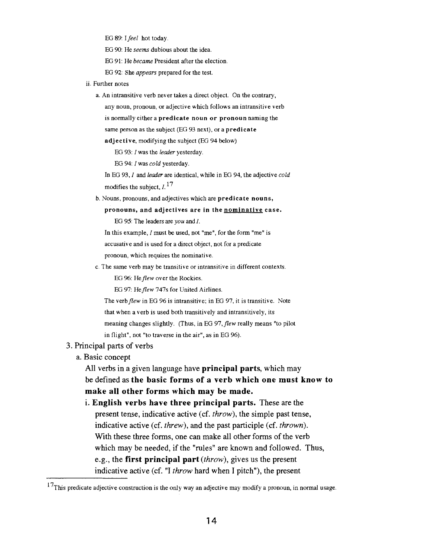EG 89: I feel hot today.

EG 90: He seems dubious about the idea.

EG 91: He became President after the election.

EG 92: She appears prepared for the test.

- ii. Further notes
	- a. An intransitive verb never takes a direct object. On the contrary,

any noun, pronoun, or adjective which follows an intransitive verb is normally either a predicate noun or pronoun naming the same person as the subject (EG 93 next), or a predicate

adjective, modifying the subject (EG 94 below)

EG 93: I was the leader yesterday.

EG 94: I was cold yesterday.

In EG 93, *I* and *leader* are identical, while in EG 94, the adjective cold modifies the subject,  $I<sup>17</sup>$ 

b. Nouns, pronouns, and adjectives which are predicate nouns,

pronouns, and adjectives are in the nominative case.

EG 95: The leaders are you and I.

In this example, I must be used, not "me", for the form "me" is accusative and is used for a direct object, not for a predicate pronoun, which requires the nominative.

c. The same verb may be transitive or intransitive in different contexts.

EG 96: He flew over the Rockies.

EG 97: He flew 747s for United Airlines.

The verb flew in EG 96 is intransitive; in EG 97, it is transitive. Note that when a verb is used both transitively and intransitively, its meaning changes slightly. (Thus, in EG 97, flew really means "to pilot in flight", not "to traverse in the air", as in EG 96).

### 3. Principal parts of verbs

a. Basic concept

All verbs in a given language have **principal parts,** which may be defined as **the basic forms of a verb which one must know to make all other forms which may be made.** 

**English verbs have three principal parts.** These are the present tense, indicative active (cf. throw), the simple past tense, indicative active (cf. threw), and the past participle (cf. thrown). With these three forms, one can make all other forms of the verb which may be needed, if the "rules" are known and followed. Thus, e.g., the **first principal part** (throw), gives us the present indicative active (cf. "I throw hard when I pitch"), the present

 $17$ This predicate adjective construction is the only way an adjective may modify a pronoun, in normal usage.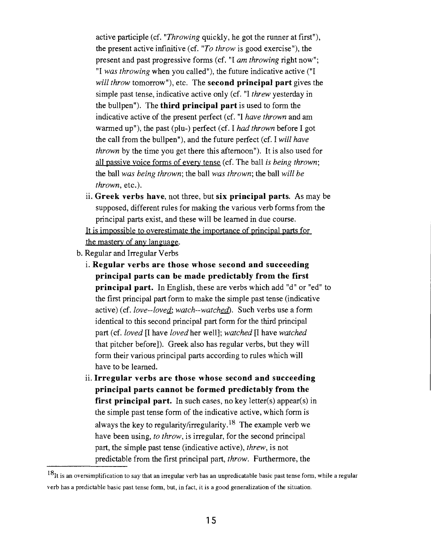active participle (cf. "Throwing quickly, he got the runner at first"), the present active infinitive (cf. "To throw is good exercise"), the present and past progressive forms (cf. "I am throwing right now"; "I was throwing when you called"), the future indicative active ("I will throw tomorrow"), etc. The **second principal part** gives the simple past tense, indicative active only (cf. "I threw yesterday in the bullpen"). The **third principal part** is used to form the indicative active of the present perfect (cf. "I have thrown and am warmed up"), the past (plu-) perfect (cf. I *had* thrown before I got the call from the bullpen"), and the future perfect (cf. I will have thrown by the time you get there this afternoon"). It is also used for all passive voice forms of every tense (cf. The ball is being thrown; the ball was being thrown; the ball was thrown; the ball will be thrown, etc.).

**Greek verbs have,** not three, but **six principal parts.** As may be supposed, different rules for making the various verb forms from the principal parts exist, and these will be learned in due course. It is impossible to overestimate the importance of principal parts for

the mastery of any language.

- b. Regular and Irregular Verbs
	- **Regular verbs are those whose second and succeeding principal parts can be made predictably from the first principal part.** In English, these are verbs which add "d" or "ed" to the first principal part form to make the simple past tense (indicative active) (cf. love--loved; watch--watched). Such verbs use a form identical to this second principal part form for the third principal part (cf. loved  $\Pi$  have loved her well]; watched  $\Pi$  have watched that pitcher before]). Greek also has regular verbs, but they will form their various principal parts according to rules which will have to be learned.
	- **Irregular verbs are those whose second and succeeding principal parts cannot be formed predictably from the first principal part.** In such cases, no key letter(s) appear(s) in the simple past tense form of the indicative active, which form is always the key to **regularity/irregularity.18** The example verb we have been using, to throw, is irregular, for the second principal part, the simple past tense (indicative active), threw, is not predictable from the first principal part, throw. Furthermore, the

 $18$ It is an oversimplification to say that an irregular verb has an unpredicatable basic past tense form, while a regular verb has a predictable basic past tense form, but, in fact, it is a good generalization of the situation.